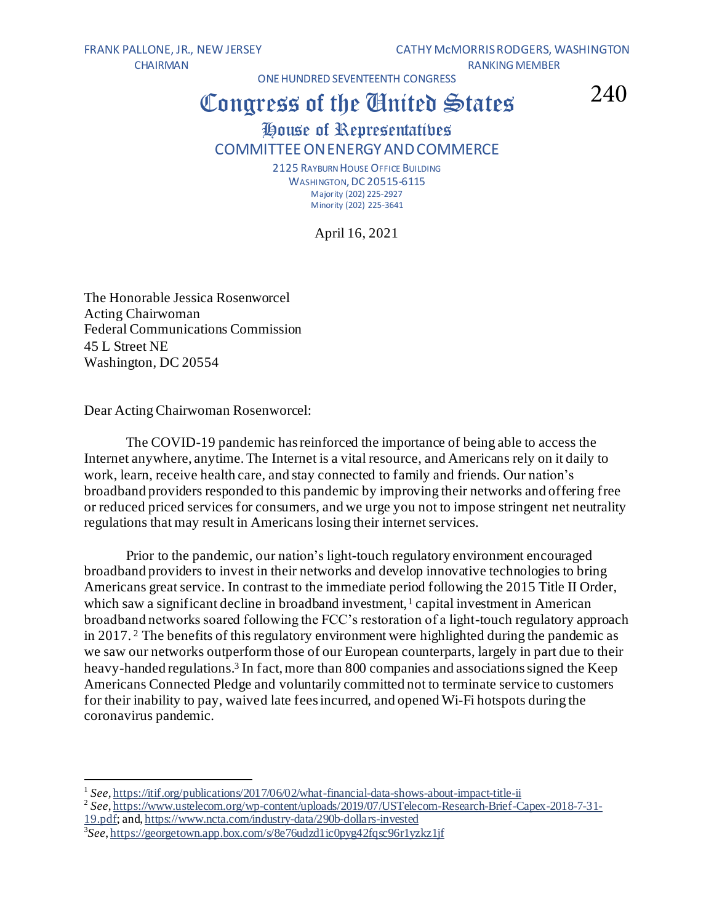CHAIRMAN RANKING MEMBER

FRANK PALLONE, JR., NEW JERSEY CATHY MCMORRIS RODGERS, WASHINGTON

ONE HUNDRED SEVENTEENTH CONGRESS

## Congress of the Gnited States

240

## House of Representatives COMMITTEEONENERGYANDCOMMERCE

2125 RAYBURN HOUSE OFFICE BUILDING **WASHINGTON, DC 20515-6115** Majority (202) 225-2927 Minority (202) 225-3641

April 16, 2021

The Honorable Jessica Rosenworcel Acting Chairwoman Federal Communications Commission 45 L Street NE Washington, DC 20554

Dear Acting Chairwoman Rosenworcel:

The COVID-19 pandemic has reinforced the importance of being able to access the Internet anywhere, anytime. The Internet is a vital resource, and Americans rely on it daily to work, learn, receive health care, and stay connected to family and friends. Our nation's broadband providers responded to this pandemic by improving their networks and offering free or reduced priced services for consumers, and we urge you not to impose stringent net neutrality regulations that may result in Americans losing their internet services.

Prior to the pandemic, our nation's light-touch regulatory environment encouraged broadband providers to invest in their networks and develop innovative technologies to bring Americans great service. In contrast to the immediate period following the 2015 Title II Order, which saw a significant decline in broadband investment,<sup>1</sup> capital investment in American broadband networks soared following the FCC's restoration of a light-touch regulatory approach in 2017. <sup>2</sup> The benefits of this regulatory environment were highlighted during the pandemic as we saw our networks outperform those of our European counterparts, largely in part due to their heavy-handed regulations.<sup>3</sup> In fact, more than 800 companies and associations signed the Keep Americans Connected Pledge and voluntarily committed not to terminate service to customers for their inability to pay, waived late fees incurred, and opened Wi-Fi hotspots during the coronavirus pandemic.

<sup>&</sup>lt;sup>1</sup> See, <https://itif.org/publications/2017/06/02/what-financial-data-shows-about-impact-title-ii>

<sup>2</sup> *See*[, https://www.ustelecom.org/wp-content/uploads/2019/07/USTelecom-Research-Brief-Capex-2018-7-31-](https://www.ustelecom.org/wp-content/uploads/2019/07/USTelecom-Research-Brief-Capex-2018-7-31-19.pdf) [19.pdf](https://www.ustelecom.org/wp-content/uploads/2019/07/USTelecom-Research-Brief-Capex-2018-7-31-19.pdf); an[d, https://www.ncta.com/industry-data/290b-dollars-invested](https://www.ncta.com/industry-data/290b-dollars-invested)

<sup>3</sup> *See*[, https://georgetown.app.box.com/s/8e76udzd1ic0pyg42fqsc96r1yzkz1jf](https://georgetown.app.box.com/s/8e76udzd1ic0pyg42fqsc96r1yzkz1jf)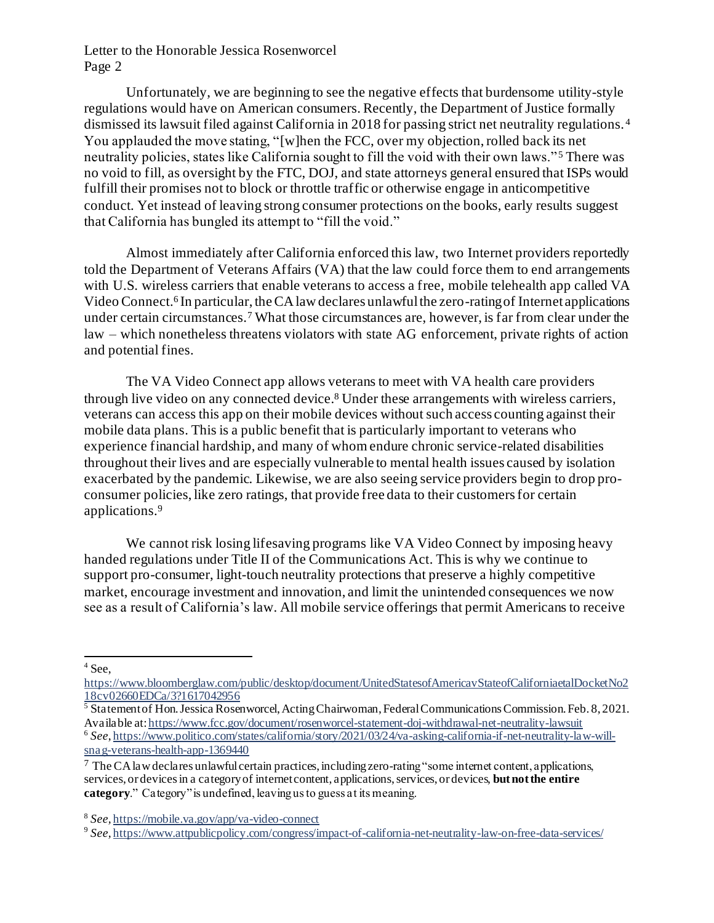Unfortunately, we are beginning to see the negative effects that burdensome utility-style regulations would have on American consumers. Recently, the Department of Justice formally dismissed its lawsuit filed against California in 2018 for passing strict net neutrality regulations. <sup>4</sup> You applauded the move stating, "[w]hen the FCC, over my objection, rolled back its net neutrality policies, states like California sought to fill the void with their own laws." <sup>5</sup> There was no void to fill, as oversight by the FTC, DOJ, and state attorneys general ensured that ISPs would fulfill their promises not to block or throttle traffic or otherwise engage in anticompetitive conduct. Yet instead of leaving strong consumer protections on the books, early results suggest that California has bungled its attempt to "fill the void."

Almost immediately after California enforced this law, two Internet providers reportedly told the Department of Veterans Affairs (VA) that the law could force them to end arrangements with U.S. wireless carriers that enable veterans to access a free, mobile telehealth app called VA Video Connect. 6 In particular, the CA law declares unlawful the zero-rating of Internet applications under certain circumstances.<sup>7</sup> What those circumstances are, however, is far from clear under the law – which nonetheless threatens violators with state AG enforcement, private rights of action and potential fines.

The VA Video Connect app allows veterans to meet with VA health care providers through live video on any connected device.<sup>8</sup> Under these arrangements with wireless carriers, veterans can access this app on their mobile devices without such access counting against their mobile data plans. This is a public benefit that is particularly important to veterans who experience financial hardship, and many of whom endure chronic service-related disabilities throughout their lives and are especially vulnerable to mental health issues caused by isolation exacerbated by the pandemic. Likewise, we are also seeing service providers begin to drop proconsumer policies, like zero ratings, that provide free data to their customers for certain applications.<sup>9</sup>

We cannot risk losing lifesaving programs like VA Video Connect by imposing heavy handed regulations under Title II of the Communications Act. This is why we continue to support pro-consumer, light-touch neutrality protections that preserve a highly competitive market, encourage investment and innovation, and limit the unintended consequences we now see as a result of California's law. All mobile service offerings that permit Americans to receive

 $<sup>4</sup>$  See,</sup>

[https://www.bloomberglaw.com/public/desktop/document/UnitedStatesofAmericavStateofCaliforniaetalDocketNo2](https://www.bloomberglaw.com/public/desktop/document/UnitedStatesofAmericavStateofCaliforniaetalDocketNo218cv02660EDCa/3?1617042956) [18cv02660EDCa/3?1617042956](https://www.bloomberglaw.com/public/desktop/document/UnitedStatesofAmericavStateofCaliforniaetalDocketNo218cv02660EDCa/3?1617042956)

<sup>&</sup>lt;sup>5</sup> Statement of Hon. Jessica Rosenworcel, Acting Chairwoman, Federal Communications Commission. Feb. 8, 2021. Available at[: https://www.fcc.gov/document/rosenworcel-statement-doj-withdrawal-net-neutrality-lawsuit](https://www.fcc.gov/document/rosenworcel-statement-doj-withdrawal-net-neutrality-lawsuit) 6 *See*[, https://www.politico.com/states/california/story/2021/03/24/va-asking-california-if-net-neutrality-law-will](https://www.politico.com/states/california/story/2021/03/24/va-asking-california-if-net-neutrality-law-will-snag-veterans-health-app-1369440)[snag-veterans-health-app-1369440](https://www.politico.com/states/california/story/2021/03/24/va-asking-california-if-net-neutrality-law-will-snag-veterans-health-app-1369440)

<sup>7</sup> The CA law declares unlawful certain practices, including zero-rating "some internet content, applications, services, or devices in a category of internet content, applications, services, or devices, **but not the entire category**." Category" is undefined, leaving us to guess at its meaning.

<sup>8</sup> *See,* <https://mobile.va.gov/app/va-video-connect>

<sup>&</sup>lt;sup>9</sup> See, <https://www.attpublicpolicy.com/congress/impact-of-california-net-neutrality-law-on-free-data-services/>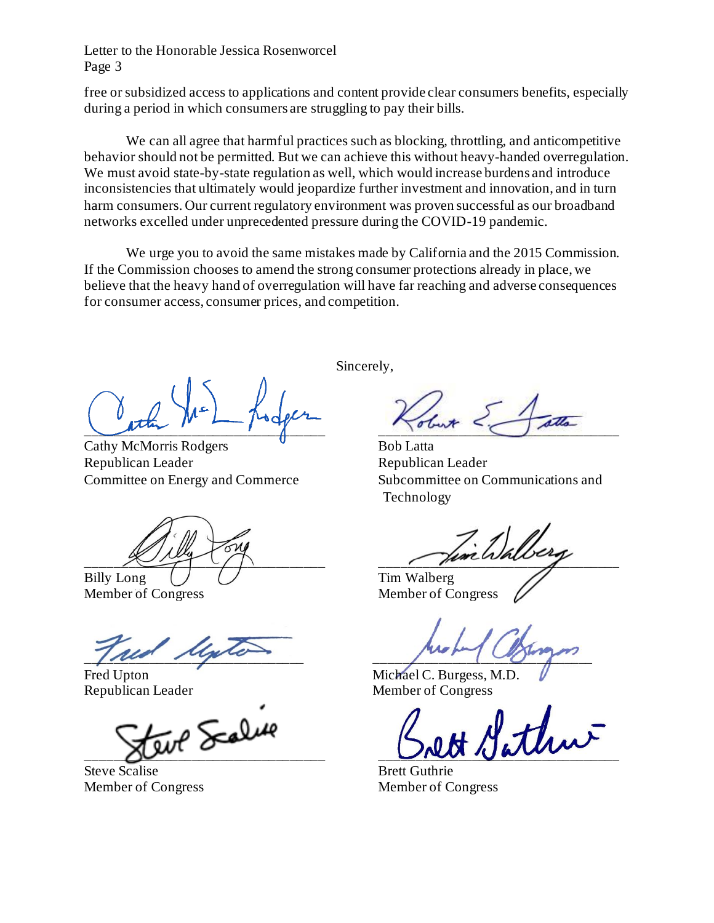free or subsidized access to applications and content provide clear consumers benefits, especially during a period in which consumers are struggling to pay their bills.

We can all agree that harmful practices such as blocking, throttling, and anticompetitive behavior should not be permitted. But we can achieve this without heavy-handed overregulation. We must avoid state-by-state regulation as well, which would increase burdens and introduce inconsistencies that ultimately would jeopardize further investment and innovation, and in turn harm consumers. Our current regulatory environment was proven successful as our broadband networks excelled under unprecedented pressure during the COVID-19 pandemic.

We urge you to avoid the same mistakes made by California and the 2015 Commission. If the Commission chooses to amend the strong consumer protections already in place, we believe that the heavy hand of overregulation will have far reaching and adverse consequences for consumer access, consumer prices, and competition.

 $\frac{1}{\sqrt{2}}$ 

Cathy McMorris Rodgers Bob Latta Republican Leader Republican Leader

Billy Long ( ) ( ) Tim Walberg

Member of Congress Member of Congress

 $\int$ 

 $Z_{\rm tot}$  Scalue

Steve Scalise Brett Guthrie Member of Congress Member of Congress

Sincerely,

Committee on Energy and Commerce Subcommittee on Communications and Technology

 $\mathbb{Z}/n$ 

Fred Upton Michael C. Burgess, M.D. Republican Leader Member of Congress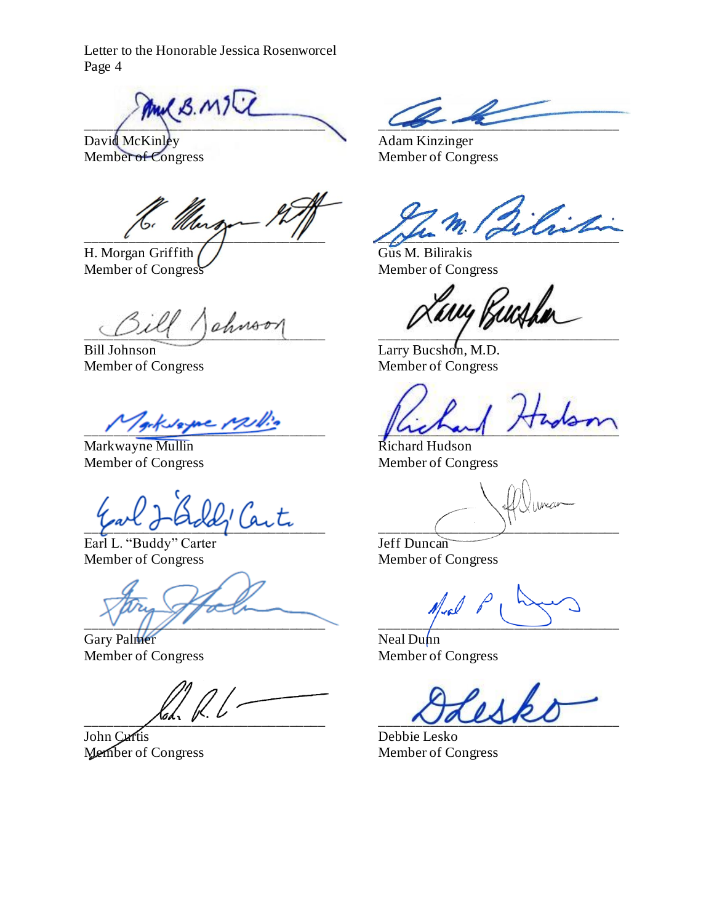$\frac{1}{2}$ 

David McKinley Adam Kinzinger<br>Member of Congress Member of Cong

*Uturs* 

H. Morgan Griffith  $\bigcup$  Gus M. Bilirakis Member of Congress Member of Congress

 $\frac{1}{2}$ 

Member of Congress Member of Congress

arksame Millio

Markwayne Mullin Richard Hudson Member of Congress Member of Congress

 $\sqrt{2}$  and  $\sqrt{2}$  and  $\sqrt{2}$ 

Earl L. "Buddy" Carter Jeff Duncan Member of Congress Member of Congress

 $\sim$   $\sim$   $\sim$   $\sim$   $\sim$   $\sim$   $\sim$   $\sim$ 

Gary Palmer Neal Dunn

John Curtis Debbie Lesko

Member of Congress

 $\frac{1}{2}$ 

avy <sub>Pr</sub>ush

Bill Johnson Larry Bucshon, M.D.

Member of Congress Member of Congress

 $\bigwedge_{i=1}^n \bigwedge_{i=1}^n \bigwedge_{i=1}^n \bigwedge_{i=1}^n \bigwedge_{i=1}^n \bigwedge_{i=1}^n \bigwedge_{i=1}^n \bigwedge_{i=1}^n \bigwedge_{i=1}^n \bigwedge_{i=1}^n \bigwedge_{i=1}^n \bigwedge_{i=1}^n \bigwedge_{i=1}^n \bigwedge_{i=1}^n \bigwedge_{i=1}^n \bigwedge_{i=1}^n \bigwedge_{i=1}^n \bigwedge_{i=1}^n \bigwedge_{i=1}^n \bigwedge_{i=1}^n$ 

Member of Congress Member of Congress